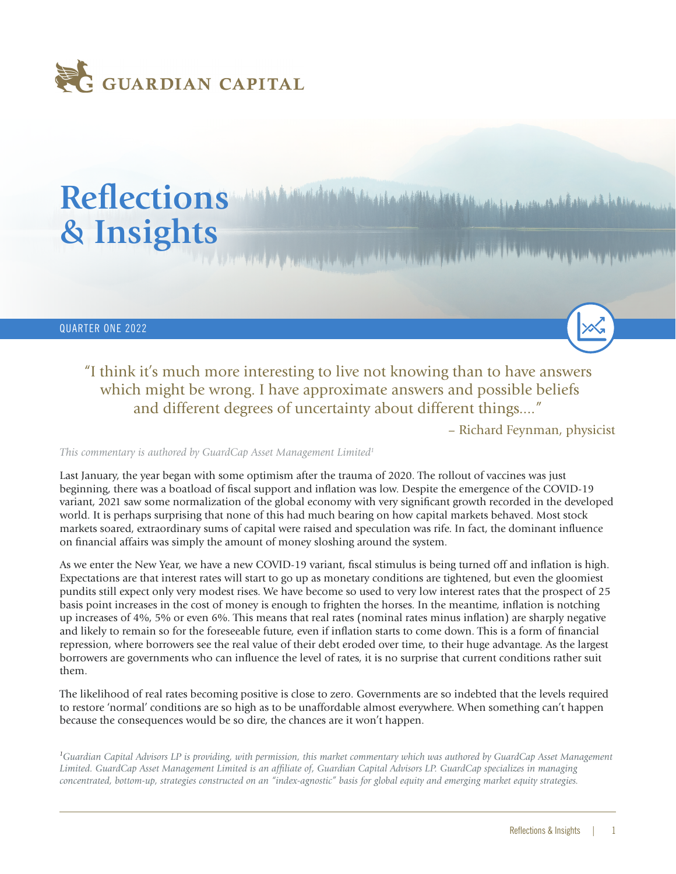

# Reflections *Multiple Computer Additional Additional Additional Additional Additional Additional Additional Additional Additional Additional Additional Additional Additional Additional Additional Additional Additional Add* **& Insights**

QUARTER ONE 2022

"I think it's much more interesting to live not knowing than to have answers which might be wrong. I have approximate answers and possible beliefs and different degrees of uncertainty about different things...."

– Richard Feynman, physicist

*This commentary is authored by GuardCap Asset Management Limited1*

Last January, the year began with some optimism after the trauma of 2020. The rollout of vaccines was just beginning, there was a boatload of fiscal support and inflation was low. Despite the emergence of the COVID-19 variant, 2021 saw some normalization of the global economy with very significant growth recorded in the developed world. It is perhaps surprising that none of this had much bearing on how capital markets behaved. Most stock markets soared, extraordinary sums of capital were raised and speculation was rife. In fact, the dominant influence on financial affairs was simply the amount of money sloshing around the system.

As we enter the New Year, we have a new COVID-19 variant, fiscal stimulus is being turned off and inflation is high. Expectations are that interest rates will start to go up as monetary conditions are tightened, but even the gloomiest pundits still expect only very modest rises. We have become so used to very low interest rates that the prospect of 25 basis point increases in the cost of money is enough to frighten the horses. In the meantime, inflation is notching up increases of 4%, 5% or even 6%. This means that real rates (nominal rates minus inflation) are sharply negative and likely to remain so for the foreseeable future, even if inflation starts to come down. This is a form of financial repression, where borrowers see the real value of their debt eroded over time, to their huge advantage. As the largest borrowers are governments who can influence the level of rates, it is no surprise that current conditions rather suit them.

The likelihood of real rates becoming positive is close to zero. Governments are so indebted that the levels required to restore 'normal' conditions are so high as to be unaffordable almost everywhere. When something can't happen because the consequences would be so dire, the chances are it won't happen.

*1 Guardian Capital Advisors LP is providing, with permission, this market commentary which was authored by GuardCap Asset Management Limited. GuardCap Asset Management Limited is an affiliate of, Guardian Capital Advisors LP. GuardCap specializes in managing concentrated, bottom-up, strategies constructed on an "index-agnostic" basis for global equity and emerging market equity strategies.*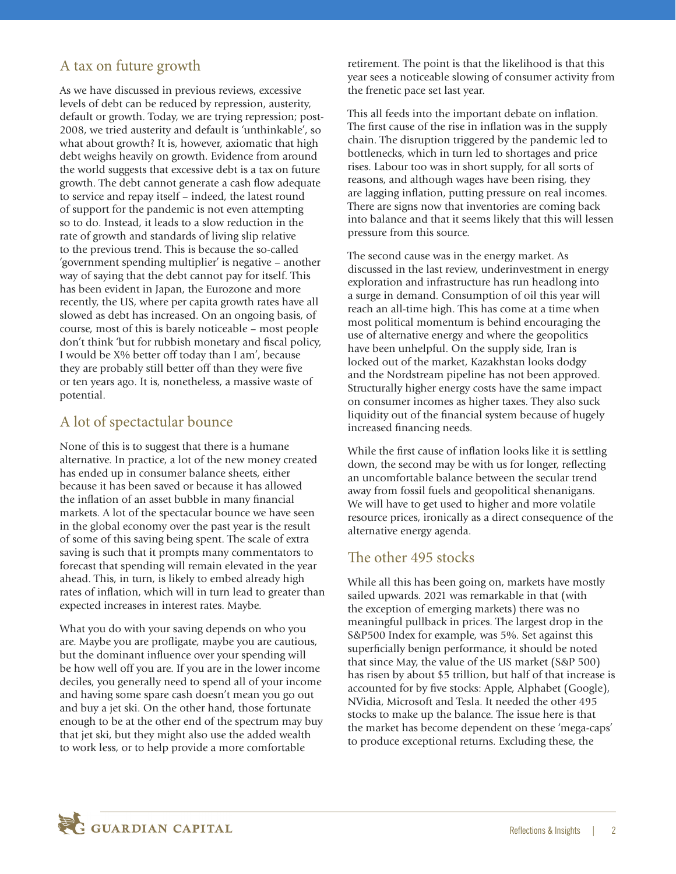#### A tax on future growth

As we have discussed in previous reviews, excessive levels of debt can be reduced by repression, austerity, default or growth. Today, we are trying repression; post-2008, we tried austerity and default is 'unthinkable', so what about growth? It is, however, axiomatic that high debt weighs heavily on growth. Evidence from around the world suggests that excessive debt is a tax on future growth. The debt cannot generate a cash flow adequate to service and repay itself – indeed, the latest round of support for the pandemic is not even attempting so to do. Instead, it leads to a slow reduction in the rate of growth and standards of living slip relative to the previous trend. This is because the so-called 'government spending multiplier' is negative – another way of saying that the debt cannot pay for itself. This has been evident in Japan, the Eurozone and more recently, the US, where per capita growth rates have all slowed as debt has increased. On an ongoing basis, of course, most of this is barely noticeable – most people don't think 'but for rubbish monetary and fiscal policy, I would be X% better off today than I am', because they are probably still better off than they were five or ten years ago. It is, nonetheless, a massive waste of potential.

## A lot of spectactular bounce

None of this is to suggest that there is a humane alternative. In practice, a lot of the new money created has ended up in consumer balance sheets, either because it has been saved or because it has allowed the inflation of an asset bubble in many financial markets. A lot of the spectacular bounce we have seen in the global economy over the past year is the result of some of this saving being spent. The scale of extra saving is such that it prompts many commentators to forecast that spending will remain elevated in the year ahead. This, in turn, is likely to embed already high rates of inflation, which will in turn lead to greater than expected increases in interest rates. Maybe.

What you do with your saving depends on who you are. Maybe you are profligate, maybe you are cautious, but the dominant influence over your spending will be how well off you are. If you are in the lower income deciles, you generally need to spend all of your income and having some spare cash doesn't mean you go out and buy a jet ski. On the other hand, those fortunate enough to be at the other end of the spectrum may buy that jet ski, but they might also use the added wealth to work less, or to help provide a more comfortable

retirement. The point is that the likelihood is that this year sees a noticeable slowing of consumer activity from the frenetic pace set last year.

This all feeds into the important debate on inflation. The first cause of the rise in inflation was in the supply chain. The disruption triggered by the pandemic led to bottlenecks, which in turn led to shortages and price rises. Labour too was in short supply, for all sorts of reasons, and although wages have been rising, they are lagging inflation, putting pressure on real incomes. There are signs now that inventories are coming back into balance and that it seems likely that this will lessen pressure from this source.

The second cause was in the energy market. As discussed in the last review, underinvestment in energy exploration and infrastructure has run headlong into a surge in demand. Consumption of oil this year will reach an all-time high. This has come at a time when most political momentum is behind encouraging the use of alternative energy and where the geopolitics have been unhelpful. On the supply side, Iran is locked out of the market, Kazakhstan looks dodgy and the Nordstream pipeline has not been approved. Structurally higher energy costs have the same impact on consumer incomes as higher taxes. They also suck liquidity out of the financial system because of hugely increased financing needs.

While the first cause of inflation looks like it is settling down, the second may be with us for longer, reflecting an uncomfortable balance between the secular trend away from fossil fuels and geopolitical shenanigans. We will have to get used to higher and more volatile resource prices, ironically as a direct consequence of the alternative energy agenda.

#### The other 495 stocks

While all this has been going on, markets have mostly sailed upwards. 2021 was remarkable in that (with the exception of emerging markets) there was no meaningful pullback in prices. The largest drop in the S&P500 Index for example, was 5%. Set against this superficially benign performance, it should be noted that since May, the value of the US market (S&P 500) has risen by about \$5 trillion, but half of that increase is accounted for by five stocks: Apple, Alphabet (Google), NVidia, Microsoft and Tesla. It needed the other 495 stocks to make up the balance. The issue here is that the market has become dependent on these 'mega-caps' to produce exceptional returns. Excluding these, the

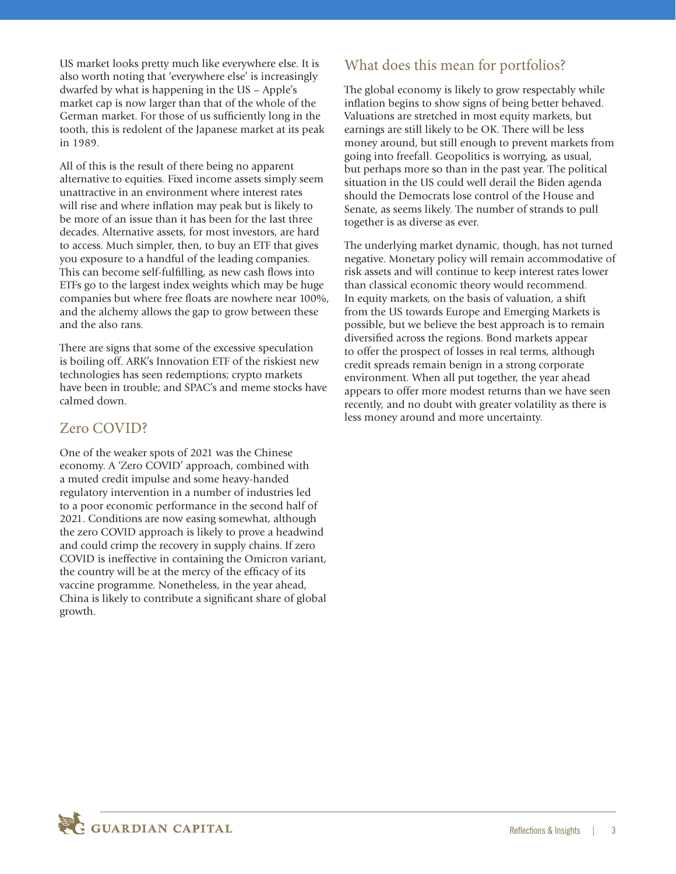US market looks pretty much like everywhere else. It is also worth noting that 'everywhere else' is increasingly dwarfed by what is happening in the US – Apple's market cap is now larger than that of the whole of the German market. For those of us sufficiently long in the tooth, this is redolent of the Japanese market at its peak in 1989.

All of this is the result of there being no apparent alternative to equities. Fixed income assets simply seem unattractive in an environment where interest rates will rise and where inflation may peak but is likely to be more of an issue than it has been for the last three decades. Alternative assets, for most investors, are hard to access. Much simpler, then, to buy an ETF that gives you exposure to a handful of the leading companies. This can become self-fulfilling, as new cash flows into ETFs go to the largest index weights which may be huge companies but where free floats are nowhere near 100%, and the alchemy allows the gap to grow between these and the also rans.

There are signs that some of the excessive speculation is boiling off. ARK's Innovation ETF of the riskiest new technologies has seen redemptions; crypto markets have been in trouble; and SPAC's and meme stocks have calmed down.

### Zero COVID?

One of the weaker spots of 2021 was the Chinese economy. A 'Zero COVID' approach, combined with a muted credit impulse and some heavy-handed regulatory intervention in a number of industries led to a poor economic performance in the second half of 2021. Conditions are now easing somewhat, although the zero COVID approach is likely to prove a headwind and could crimp the recovery in supply chains. If zero COVID is ineffective in containing the Omicron variant, the country will be at the mercy of the efficacy of its vaccine programme. Nonetheless, in the year ahead, China is likely to contribute a significant share of global growth.

## What does this mean for portfolios?

The global economy is likely to grow respectably while inflation begins to show signs of being better behaved. Valuations are stretched in most equity markets, but earnings are still likely to be OK. There will be less money around, but still enough to prevent markets from going into freefall. Geopolitics is worrying, as usual, but perhaps more so than in the past year. The political situation in the US could well derail the Biden agenda should the Democrats lose control of the House and Senate, as seems likely. The number of strands to pull together is as diverse as ever.

The underlying market dynamic, though, has not turned negative. Monetary policy will remain accommodative of risk assets and will continue to keep interest rates lower than classical economic theory would recommend. In equity markets, on the basis of valuation, a shift from the US towards Europe and Emerging Markets is possible, but we believe the best approach is to remain diversified across the regions. Bond markets appear to offer the prospect of losses in real terms, although credit spreads remain benign in a strong corporate environment. When all put together, the year ahead appears to offer more modest returns than we have seen recently, and no doubt with greater volatility as there is less money around and more uncertainty.